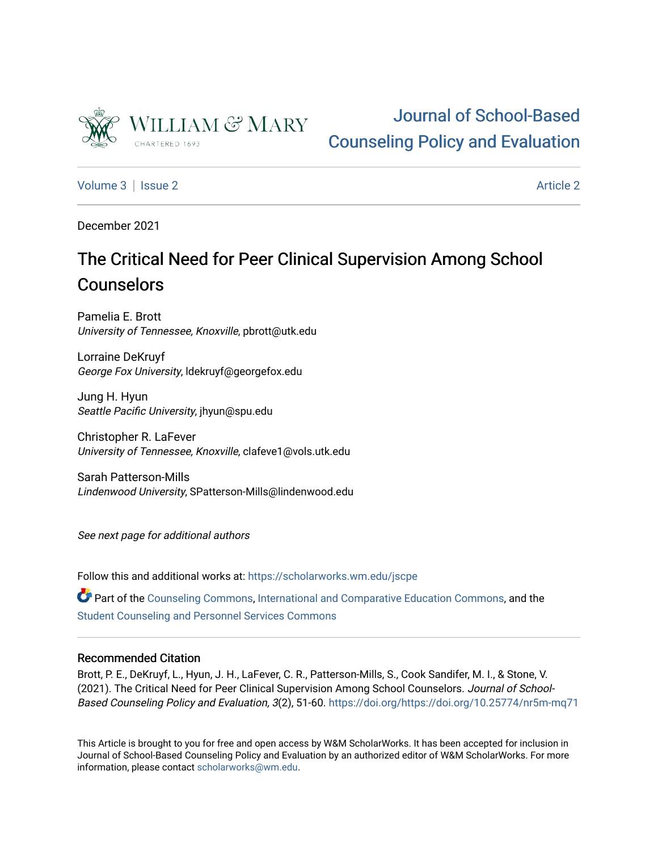

# [Journal of School-Based](https://scholarworks.wm.edu/jscpe)  [Counseling Policy and Evaluation](https://scholarworks.wm.edu/jscpe)

[Volume 3](https://scholarworks.wm.edu/jscpe/vol3) | [Issue 2](https://scholarworks.wm.edu/jscpe/vol3/iss2) [Article 2](https://scholarworks.wm.edu/jscpe/vol3/iss2/2) Article 2 Article 2 Article 2 Article 2 Article 2 Article 2 Article 2 Article 2 Article 2 Article 2 Article 2 Article 2 Article 2 Article 2 Article 2 Article 2 Article 2 Article 2 Article 2 Art

December 2021

# The Critical Need for Peer Clinical Supervision Among School **Counselors**

Pamelia E. Brott University of Tennessee, Knoxville, pbrott@utk.edu

Lorraine DeKruyf George Fox University, ldekruyf@georgefox.edu

Jung H. Hyun Seattle Pacific University, jhyun@spu.edu

Christopher R. LaFever University of Tennessee, Knoxville, clafeve1@vols.utk.edu

Sarah Patterson-Mills Lindenwood University, SPatterson-Mills@lindenwood.edu

See next page for additional authors

Follow this and additional works at: [https://scholarworks.wm.edu/jscpe](https://scholarworks.wm.edu/jscpe?utm_source=scholarworks.wm.edu%2Fjscpe%2Fvol3%2Fiss2%2F2&utm_medium=PDF&utm_campaign=PDFCoverPages) 

Part of the [Counseling Commons,](http://network.bepress.com/hgg/discipline/1268?utm_source=scholarworks.wm.edu%2Fjscpe%2Fvol3%2Fiss2%2F2&utm_medium=PDF&utm_campaign=PDFCoverPages) [International and Comparative Education Commons](http://network.bepress.com/hgg/discipline/797?utm_source=scholarworks.wm.edu%2Fjscpe%2Fvol3%2Fiss2%2F2&utm_medium=PDF&utm_campaign=PDFCoverPages), and the [Student Counseling and Personnel Services Commons](http://network.bepress.com/hgg/discipline/802?utm_source=scholarworks.wm.edu%2Fjscpe%2Fvol3%2Fiss2%2F2&utm_medium=PDF&utm_campaign=PDFCoverPages)

# Recommended Citation

Brott, P. E., DeKruyf, L., Hyun, J. H., LaFever, C. R., Patterson-Mills, S., Cook Sandifer, M. I., & Stone, V. (2021). The Critical Need for Peer Clinical Supervision Among School Counselors. Journal of School-Based Counseling Policy and Evaluation, 3(2), 51-60.<https://doi.org/https://doi.org/10.25774/nr5m-mq71>

This Article is brought to you for free and open access by W&M ScholarWorks. It has been accepted for inclusion in Journal of School-Based Counseling Policy and Evaluation by an authorized editor of W&M ScholarWorks. For more information, please contact [scholarworks@wm.edu](mailto:scholarworks@wm.edu).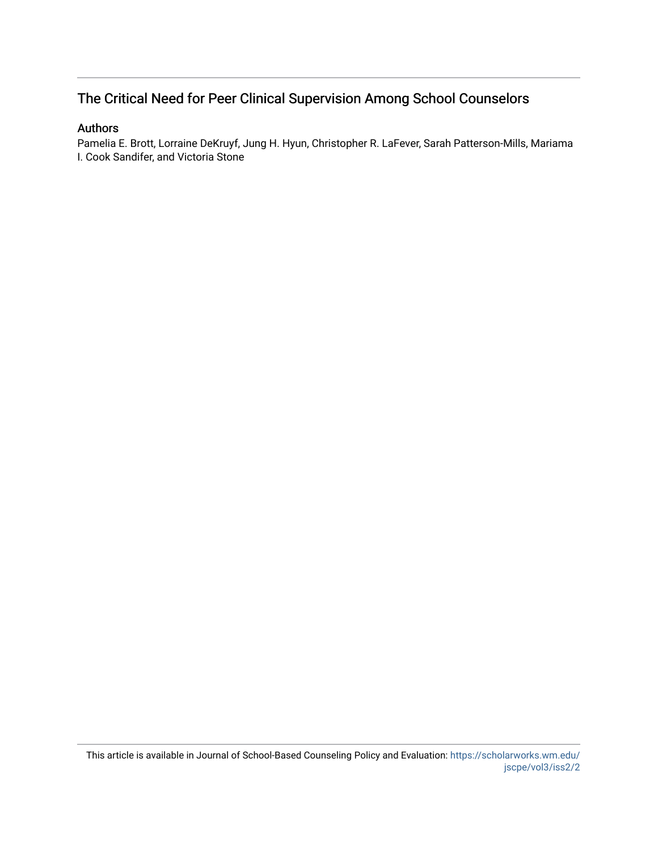# The Critical Need for Peer Clinical Supervision Among School Counselors

# Authors

Pamelia E. Brott, Lorraine DeKruyf, Jung H. Hyun, Christopher R. LaFever, Sarah Patterson-Mills, Mariama I. Cook Sandifer, and Victoria Stone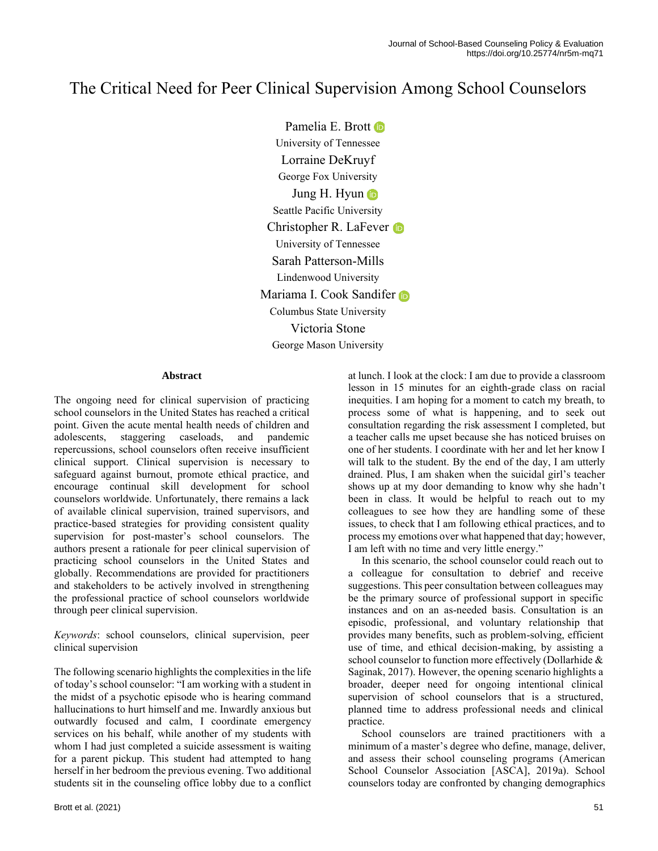# The Critical Need for Peer Clinical Supervision Among School Counselors

Pamelia E. Brott **D** University of Tennessee Lorraine DeKruyf George Fox University Jung H. Hyun Seattle Pacific University Christopher R. LaFever **D** University of Tennessee Sarah Patterson-Mills Lindenwood University Mariama I. Cook Sandifer Columbus State University Victoria Stone George Mason University

#### **Abstract**

The ongoing need for clinical supervision of practicing school counselors in the United States has reached a critical point. Given the acute mental health needs of children and adolescents, staggering caseloads, and pandemic repercussions, school counselors often receive insufficient clinical support. Clinical supervision is necessary to safeguard against burnout, promote ethical practice, and encourage continual skill development for school counselors worldwide. Unfortunately, there remains a lack of available clinical supervision, trained supervisors, and practice-based strategies for providing consistent quality supervision for post-master's school counselors. The authors present a rationale for peer clinical supervision of practicing school counselors in the United States and globally. Recommendations are provided for practitioners and stakeholders to be actively involved in strengthening the professional practice of school counselors worldwide through peer clinical supervision.

*Keywords*: school counselors, clinical supervision, peer clinical supervision

The following scenario highlights the complexities in the life of today's school counselor: "I am working with a student in the midst of a psychotic episode who is hearing command hallucinations to hurt himself and me. Inwardly anxious but outwardly focused and calm, I coordinate emergency services on his behalf, while another of my students with whom I had just completed a suicide assessment is waiting for a parent pickup. This student had attempted to hang herself in her bedroom the previous evening. Two additional students sit in the counseling office lobby due to a conflict

at lunch. I look at the clock: I am due to provide a classroom lesson in 15 minutes for an eighth-grade class on racial inequities. I am hoping for a moment to catch my breath, to process some of what is happening, and to seek out consultation regarding the risk assessment I completed, but a teacher calls me upset because she has noticed bruises on one of her students. I coordinate with her and let her know I will talk to the student. By the end of the day, I am utterly drained. Plus, I am shaken when the suicidal girl's teacher shows up at my door demanding to know why she hadn't been in class. It would be helpful to reach out to my colleagues to see how they are handling some of these issues, to check that I am following ethical practices, and to process my emotions over what happened that day; however, I am left with no time and very little energy."

 In this scenario, the school counselor could reach out to a colleague for consultation to debrief and receive suggestions. This peer consultation between colleagues may be the primary source of professional support in specific instances and on an as-needed basis. Consultation is an episodic, professional, and voluntary relationship that provides many benefits, such as problem-solving, efficient use of time, and ethical decision-making, by assisting a school counselor to function more effectively (Dollarhide & Saginak, 2017). However, the opening scenario highlights a broader, deeper need for ongoing intentional clinical supervision of school counselors that is a structured, planned time to address professional needs and clinical practice.

 School counselors are trained practitioners with a minimum of a master's degree who define, manage, deliver, and assess their school counseling programs (American School Counselor Association [ASCA], 2019a). School counselors today are confronted by changing demographics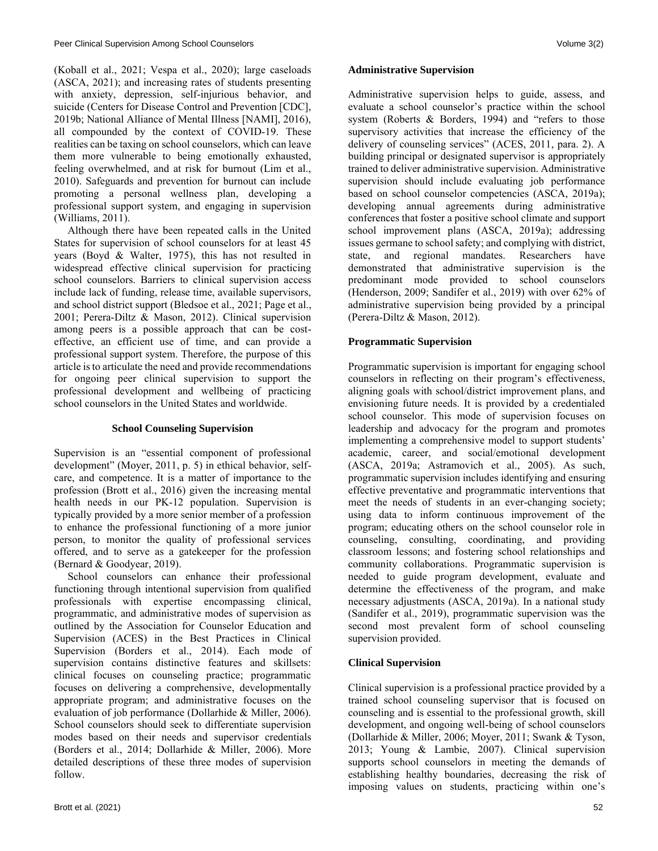(Koball et al., 2021; Vespa et al., 2020); large caseloads (ASCA, 2021); and increasing rates of students presenting with anxiety, depression, self-injurious behavior, and suicide (Centers for Disease Control and Prevention [CDC], 2019b; National Alliance of Mental Illness [NAMI], 2016), all compounded by the context of COVID-19. These realities can be taxing on school counselors, which can leave them more vulnerable to being emotionally exhausted, feeling overwhelmed, and at risk for burnout (Lim et al., 2010). Safeguards and prevention for burnout can include promoting a personal wellness plan, developing a professional support system, and engaging in supervision (Williams, 2011).

 Although there have been repeated calls in the United States for supervision of school counselors for at least 45 years (Boyd & Walter, 1975), this has not resulted in widespread effective clinical supervision for practicing school counselors. Barriers to clinical supervision access include lack of funding, release time, available supervisors, and school district support (Bledsoe et al., 2021; Page et al., 2001; Perera-Diltz & Mason, 2012). Clinical supervision among peers is a possible approach that can be costeffective, an efficient use of time, and can provide a professional support system. Therefore, the purpose of this article is to articulate the need and provide recommendations for ongoing peer clinical supervision to support the professional development and wellbeing of practicing school counselors in the United States and worldwide.

#### **School Counseling Supervision**

Supervision is an "essential component of professional development" (Moyer, 2011, p. 5) in ethical behavior, selfcare, and competence. It is a matter of importance to the profession (Brott et al., 2016) given the increasing mental health needs in our PK-12 population. Supervision is typically provided by a more senior member of a profession to enhance the professional functioning of a more junior person, to monitor the quality of professional services offered, and to serve as a gatekeeper for the profession (Bernard & Goodyear, 2019).

 School counselors can enhance their professional functioning through intentional supervision from qualified professionals with expertise encompassing clinical, programmatic, and administrative modes of supervision as outlined by the Association for Counselor Education and Supervision (ACES) in the Best Practices in Clinical Supervision (Borders et al., 2014). Each mode of supervision contains distinctive features and skillsets: clinical focuses on counseling practice; programmatic focuses on delivering a comprehensive, developmentally appropriate program; and administrative focuses on the evaluation of job performance (Dollarhide & Miller, 2006). School counselors should seek to differentiate supervision modes based on their needs and supervisor credentials (Borders et al., 2014; Dollarhide & Miller, 2006). More detailed descriptions of these three modes of supervision follow.

#### **Administrative Supervision**

Administrative supervision helps to guide, assess, and evaluate a school counselor's practice within the school system (Roberts & Borders, 1994) and "refers to those supervisory activities that increase the efficiency of the delivery of counseling services" (ACES, 2011, para. 2). A building principal or designated supervisor is appropriately trained to deliver administrative supervision. Administrative supervision should include evaluating job performance based on school counselor competencies (ASCA, 2019a); developing annual agreements during administrative conferences that foster a positive school climate and support school improvement plans (ASCA, 2019a); addressing issues germane to school safety; and complying with district, state, and regional mandates. Researchers have demonstrated that administrative supervision is the predominant mode provided to school counselors (Henderson, 2009; Sandifer et al., 2019) with over 62% of administrative supervision being provided by a principal (Perera-Diltz & Mason, 2012).

# **Programmatic Supervision**

Programmatic supervision is important for engaging school counselors in reflecting on their program's effectiveness, aligning goals with school/district improvement plans, and envisioning future needs. It is provided by a credentialed school counselor. This mode of supervision focuses on leadership and advocacy for the program and promotes implementing a comprehensive model to support students' academic, career, and social/emotional development (ASCA, 2019a; Astramovich et al., 2005). As such, programmatic supervision includes identifying and ensuring effective preventative and programmatic interventions that meet the needs of students in an ever-changing society; using data to inform continuous improvement of the program; educating others on the school counselor role in counseling, consulting, coordinating, and providing classroom lessons; and fostering school relationships and community collaborations. Programmatic supervision is needed to guide program development, evaluate and determine the effectiveness of the program, and make necessary adjustments (ASCA, 2019a). In a national study (Sandifer et al., 2019), programmatic supervision was the second most prevalent form of school counseling supervision provided.

#### **Clinical Supervision**

Clinical supervision is a professional practice provided by a trained school counseling supervisor that is focused on counseling and is essential to the professional growth, skill development, and ongoing well-being of school counselors (Dollarhide & Miller, 2006; Moyer, 2011; Swank & Tyson, 2013; Young & Lambie, 2007). Clinical supervision supports school counselors in meeting the demands of establishing healthy boundaries, decreasing the risk of imposing values on students, practicing within one's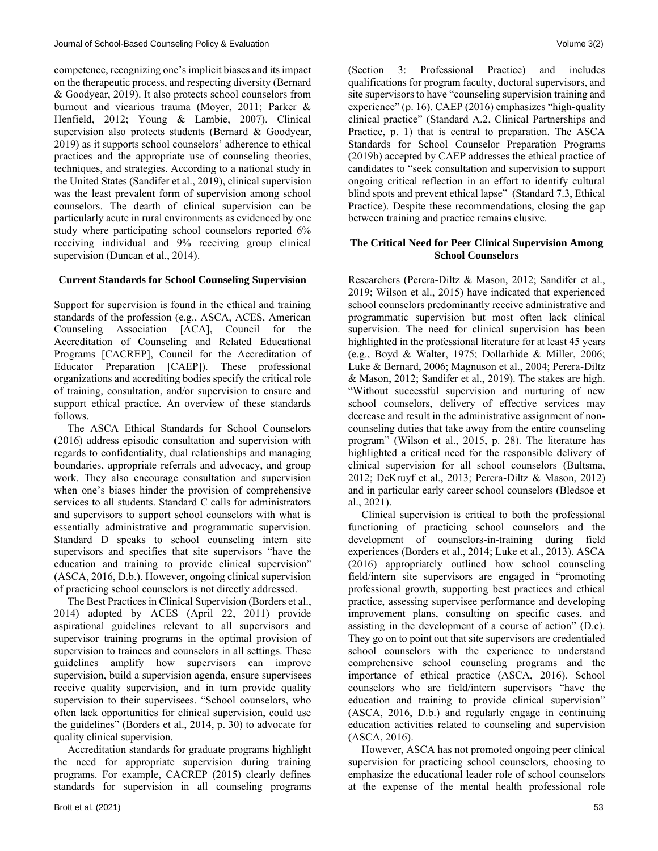competence, recognizing one's implicit biases and its impact on the therapeutic process, and respecting diversity (Bernard & Goodyear, 2019). It also protects school counselors from burnout and vicarious trauma (Moyer, 2011; Parker & Henfield, 2012; Young & Lambie, 2007). Clinical supervision also protects students (Bernard & Goodyear, 2019) as it supports school counselors' adherence to ethical practices and the appropriate use of counseling theories, techniques, and strategies. According to a national study in the United States (Sandifer et al., 2019), clinical supervision was the least prevalent form of supervision among school counselors. The dearth of clinical supervision can be particularly acute in rural environments as evidenced by one study where participating school counselors reported 6% receiving individual and 9% receiving group clinical supervision (Duncan et al., 2014).

#### **Current Standards for School Counseling Supervision**

Support for supervision is found in the ethical and training standards of the profession (e.g., ASCA, ACES, American Counseling Association [ACA], Council for the Accreditation of Counseling and Related Educational Programs [CACREP], Council for the Accreditation of Educator Preparation [CAEP]). These professional organizations and accrediting bodies specify the critical role of training, consultation, and/or supervision to ensure and support ethical practice. An overview of these standards follows.

 The ASCA Ethical Standards for School Counselors (2016) address episodic consultation and supervision with regards to confidentiality, dual relationships and managing boundaries, appropriate referrals and advocacy, and group work. They also encourage consultation and supervision when one's biases hinder the provision of comprehensive services to all students. Standard C calls for administrators and supervisors to support school counselors with what is essentially administrative and programmatic supervision. Standard D speaks to school counseling intern site supervisors and specifies that site supervisors "have the education and training to provide clinical supervision" (ASCA, 2016, D.b.). However, ongoing clinical supervision of practicing school counselors is not directly addressed.

 The Best Practices in Clinical Supervision (Borders et al., 2014) adopted by ACES (April 22, 2011) provide aspirational guidelines relevant to all supervisors and supervisor training programs in the optimal provision of supervision to trainees and counselors in all settings. These guidelines amplify how supervisors can improve supervision, build a supervision agenda, ensure supervisees receive quality supervision, and in turn provide quality supervision to their supervisees. "School counselors, who often lack opportunities for clinical supervision, could use the guidelines" (Borders et al., 2014, p. 30) to advocate for quality clinical supervision.

 Accreditation standards for graduate programs highlight the need for appropriate supervision during training programs. For example, CACREP (2015) clearly defines standards for supervision in all counseling programs (Section 3: Professional Practice) and includes qualifications for program faculty, doctoral supervisors, and site supervisors to have "counseling supervision training and experience" (p. 16). CAEP (2016) emphasizes "high-quality clinical practice" (Standard A.2, Clinical Partnerships and Practice, p. 1) that is central to preparation. The ASCA Standards for School Counselor Preparation Programs (2019b) accepted by CAEP addresses the ethical practice of candidates to "seek consultation and supervision to support ongoing critical reflection in an effort to identify cultural blind spots and prevent ethical lapse" (Standard 7.3, Ethical Practice). Despite these recommendations, closing the gap between training and practice remains elusive.

#### **The Critical Need for Peer Clinical Supervision Among School Counselors**

Researchers (Perera-Diltz & Mason, 2012; Sandifer et al., 2019; Wilson et al., 2015) have indicated that experienced school counselors predominantly receive administrative and programmatic supervision but most often lack clinical supervision. The need for clinical supervision has been highlighted in the professional literature for at least 45 years (e.g., Boyd & Walter, 1975; Dollarhide & Miller, 2006; Luke & Bernard, 2006; Magnuson et al., 2004; Perera-Diltz & Mason, 2012; Sandifer et al., 2019). The stakes are high. "Without successful supervision and nurturing of new school counselors, delivery of effective services may decrease and result in the administrative assignment of noncounseling duties that take away from the entire counseling program" (Wilson et al., 2015, p. 28). The literature has highlighted a critical need for the responsible delivery of clinical supervision for all school counselors (Bultsma, 2012; DeKruyf et al., 2013; Perera-Diltz & Mason, 2012) and in particular early career school counselors (Bledsoe et al., 2021).

 Clinical supervision is critical to both the professional functioning of practicing school counselors and the development of counselors-in-training during field experiences (Borders et al., 2014; Luke et al., 2013). ASCA (2016) appropriately outlined how school counseling field/intern site supervisors are engaged in "promoting professional growth, supporting best practices and ethical practice, assessing supervisee performance and developing improvement plans, consulting on specific cases, and assisting in the development of a course of action" (D.c). They go on to point out that site supervisors are credentialed school counselors with the experience to understand comprehensive school counseling programs and the importance of ethical practice (ASCA, 2016). School counselors who are field/intern supervisors "have the education and training to provide clinical supervision" (ASCA, 2016, D.b.) and regularly engage in continuing education activities related to counseling and supervision (ASCA, 2016).

 However, ASCA has not promoted ongoing peer clinical supervision for practicing school counselors, choosing to emphasize the educational leader role of school counselors at the expense of the mental health professional role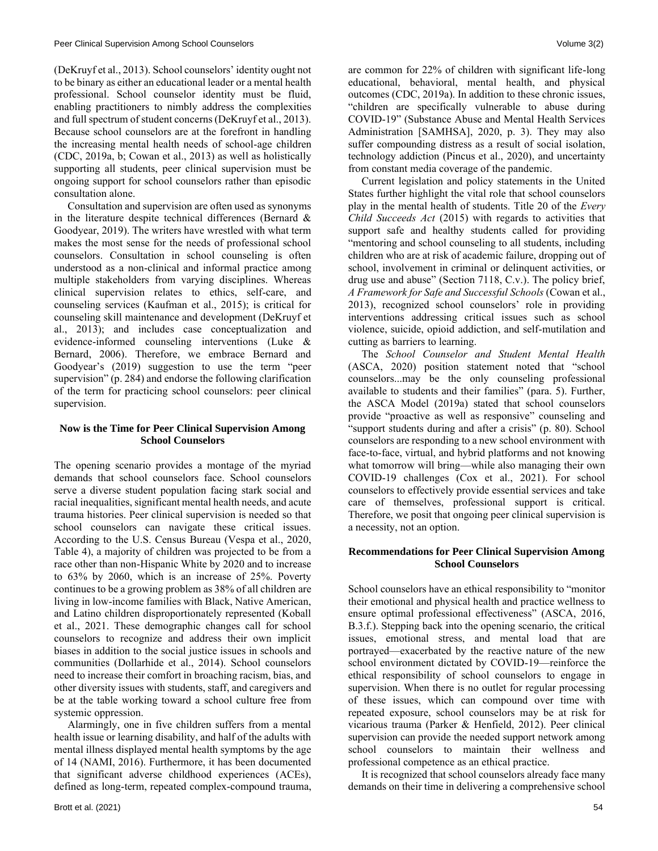(DeKruyf et al., 2013). School counselors' identity ought not to be binary as either an educational leader or a mental health professional. School counselor identity must be fluid, enabling practitioners to nimbly address the complexities and full spectrum of student concerns (DeKruyf et al., 2013). Because school counselors are at the forefront in handling the increasing mental health needs of school-age children (CDC, 2019a, b; Cowan et al., 2013) as well as holistically supporting all students, peer clinical supervision must be ongoing support for school counselors rather than episodic consultation alone.

 Consultation and supervision are often used as synonyms in the literature despite technical differences (Bernard  $\&$ Goodyear, 2019). The writers have wrestled with what term makes the most sense for the needs of professional school counselors. Consultation in school counseling is often understood as a non-clinical and informal practice among multiple stakeholders from varying disciplines. Whereas clinical supervision relates to ethics, self-care, and counseling services (Kaufman et al., 2015); is critical for counseling skill maintenance and development (DeKruyf et al., 2013); and includes case conceptualization and evidence-informed counseling interventions (Luke & Bernard, 2006). Therefore, we embrace Bernard and Goodyear's (2019) suggestion to use the term "peer supervision" (p. 284) and endorse the following clarification of the term for practicing school counselors: peer clinical supervision.

# **Now is the Time for Peer Clinical Supervision Among School Counselors**

The opening scenario provides a montage of the myriad demands that school counselors face. School counselors serve a diverse student population facing stark social and racial inequalities, significant mental health needs, and acute trauma histories. Peer clinical supervision is needed so that school counselors can navigate these critical issues. According to the U.S. Census Bureau (Vespa et al., 2020, Table 4), a majority of children was projected to be from a race other than non-Hispanic White by 2020 and to increase to 63% by 2060, which is an increase of 25%. Poverty continues to be a growing problem as 38% of all children are living in low-income families with Black, Native American, and Latino children disproportionately represented (Koball et al., 2021. These demographic changes call for school counselors to recognize and address their own implicit biases in addition to the social justice issues in schools and communities (Dollarhide et al., 2014). School counselors need to increase their comfort in broaching racism, bias, and other diversity issues with students, staff, and caregivers and be at the table working toward a school culture free from systemic oppression.

 Alarmingly, one in five children suffers from a mental health issue or learning disability, and half of the adults with mental illness displayed mental health symptoms by the age of 14 (NAMI, 2016). Furthermore, it has been documented that significant adverse childhood experiences (ACEs), defined as long-term, repeated complex-compound trauma, are common for 22% of children with significant life-long educational, behavioral, mental health, and physical outcomes (CDC, 2019a). In addition to these chronic issues, "children are specifically vulnerable to abuse during COVID-19" (Substance Abuse and Mental Health Services Administration [SAMHSA], 2020, p. 3). They may also suffer compounding distress as a result of social isolation, technology addiction (Pincus et al., 2020), and uncertainty from constant media coverage of the pandemic.

 Current legislation and policy statements in the United States further highlight the vital role that school counselors play in the mental health of students. Title 20 of the *Every Child Succeeds Act* (2015) with regards to activities that support safe and healthy students called for providing "mentoring and school counseling to all students, including children who are at risk of academic failure, dropping out of school, involvement in criminal or delinquent activities, or drug use and abuse" (Section 7118, C.v.). The policy brief, *A Framework for Safe and Successful Schools* (Cowan et al., 2013), recognized school counselors' role in providing interventions addressing critical issues such as school violence, suicide, opioid addiction, and self-mutilation and cutting as barriers to learning.

 The *School Counselor and Student Mental Health* (ASCA, 2020) position statement noted that "school counselors...may be the only counseling professional available to students and their families" (para. 5). Further, the ASCA Model (2019a) stated that school counselors provide "proactive as well as responsive" counseling and "support students during and after a crisis" (p. 80). School counselors are responding to a new school environment with face-to-face, virtual, and hybrid platforms and not knowing what tomorrow will bring—while also managing their own COVID-19 challenges (Cox et al., 2021). For school counselors to effectively provide essential services and take care of themselves, professional support is critical. Therefore, we posit that ongoing peer clinical supervision is a necessity, not an option.

#### **Recommendations for Peer Clinical Supervision Among School Counselors**

School counselors have an ethical responsibility to "monitor their emotional and physical health and practice wellness to ensure optimal professional effectiveness" (ASCA, 2016, B.3.f.). Stepping back into the opening scenario, the critical issues, emotional stress, and mental load that are portrayed—exacerbated by the reactive nature of the new school environment dictated by COVID-19—reinforce the ethical responsibility of school counselors to engage in supervision. When there is no outlet for regular processing of these issues, which can compound over time with repeated exposure, school counselors may be at risk for vicarious trauma (Parker & Henfield, 2012). Peer clinical supervision can provide the needed support network among school counselors to maintain their wellness and professional competence as an ethical practice.

 It is recognized that school counselors already face many demands on their time in delivering a comprehensive school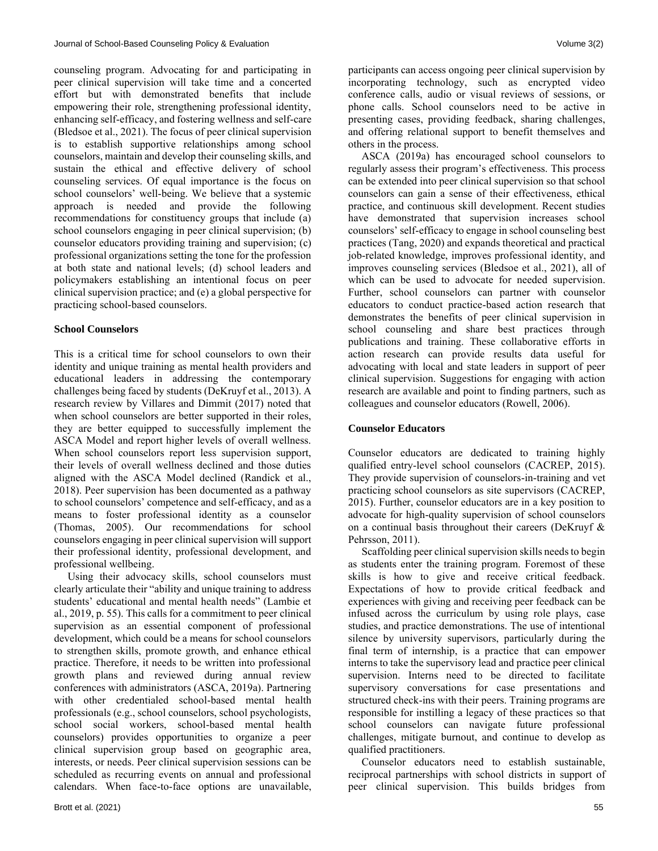counseling program. Advocating for and participating in peer clinical supervision will take time and a concerted effort but with demonstrated benefits that include empowering their role, strengthening professional identity, enhancing self-efficacy, and fostering wellness and self-care (Bledsoe et al., 2021). The focus of peer clinical supervision is to establish supportive relationships among school counselors, maintain and develop their counseling skills, and sustain the ethical and effective delivery of school counseling services. Of equal importance is the focus on school counselors' well-being. We believe that a systemic approach is needed and provide the following recommendations for constituency groups that include (a) school counselors engaging in peer clinical supervision; (b) counselor educators providing training and supervision; (c) professional organizations setting the tone for the profession at both state and national levels; (d) school leaders and policymakers establishing an intentional focus on peer clinical supervision practice; and (e) a global perspective for practicing school-based counselors.

#### **School Counselors**

This is a critical time for school counselors to own their identity and unique training as mental health providers and educational leaders in addressing the contemporary challenges being faced by students (DeKruyf et al., 2013). A research review by Villares and Dimmit (2017) noted that when school counselors are better supported in their roles, they are better equipped to successfully implement the ASCA Model and report higher levels of overall wellness. When school counselors report less supervision support, their levels of overall wellness declined and those duties aligned with the ASCA Model declined (Randick et al., 2018). Peer supervision has been documented as a pathway to school counselors' competence and self-efficacy, and as a means to foster professional identity as a counselor (Thomas, 2005). Our recommendations for school counselors engaging in peer clinical supervision will support their professional identity, professional development, and professional wellbeing.

 Using their advocacy skills, school counselors must clearly articulate their "ability and unique training to address students' educational and mental health needs" (Lambie et al., 2019, p. 55). This calls for a commitment to peer clinical supervision as an essential component of professional development, which could be a means for school counselors to strengthen skills, promote growth, and enhance ethical practice. Therefore, it needs to be written into professional growth plans and reviewed during annual review conferences with administrators (ASCA, 2019a). Partnering with other credentialed school-based mental health professionals (e.g., school counselors, school psychologists, school social workers, school-based mental health counselors) provides opportunities to organize a peer clinical supervision group based on geographic area, interests, or needs. Peer clinical supervision sessions can be scheduled as recurring events on annual and professional calendars. When face-to-face options are unavailable, participants can access ongoing peer clinical supervision by incorporating technology, such as encrypted video conference calls, audio or visual reviews of sessions, or phone calls. School counselors need to be active in presenting cases, providing feedback, sharing challenges, and offering relational support to benefit themselves and others in the process.

 ASCA (2019a) has encouraged school counselors to regularly assess their program's effectiveness. This process can be extended into peer clinical supervision so that school counselors can gain a sense of their effectiveness, ethical practice, and continuous skill development. Recent studies have demonstrated that supervision increases school counselors' self-efficacy to engage in school counseling best practices (Tang, 2020) and expands theoretical and practical job-related knowledge, improves professional identity, and improves counseling services (Bledsoe et al., 2021), all of which can be used to advocate for needed supervision. Further, school counselors can partner with counselor educators to conduct practice-based action research that demonstrates the benefits of peer clinical supervision in school counseling and share best practices through publications and training. These collaborative efforts in action research can provide results data useful for advocating with local and state leaders in support of peer clinical supervision. Suggestions for engaging with action research are available and point to finding partners, such as colleagues and counselor educators (Rowell, 2006).

#### **Counselor Educators**

Counselor educators are dedicated to training highly qualified entry-level school counselors (CACREP, 2015). They provide supervision of counselors-in-training and vet practicing school counselors as site supervisors (CACREP, 2015). Further, counselor educators are in a key position to advocate for high-quality supervision of school counselors on a continual basis throughout their careers (DeKruyf & Pehrsson, 2011).

 Scaffolding peer clinical supervision skills needs to begin as students enter the training program. Foremost of these skills is how to give and receive critical feedback. Expectations of how to provide critical feedback and experiences with giving and receiving peer feedback can be infused across the curriculum by using role plays, case studies, and practice demonstrations. The use of intentional silence by university supervisors, particularly during the final term of internship, is a practice that can empower interns to take the supervisory lead and practice peer clinical supervision. Interns need to be directed to facilitate supervisory conversations for case presentations and structured check-ins with their peers. Training programs are responsible for instilling a legacy of these practices so that school counselors can navigate future professional challenges, mitigate burnout, and continue to develop as qualified practitioners.

 Counselor educators need to establish sustainable, reciprocal partnerships with school districts in support of peer clinical supervision. This builds bridges from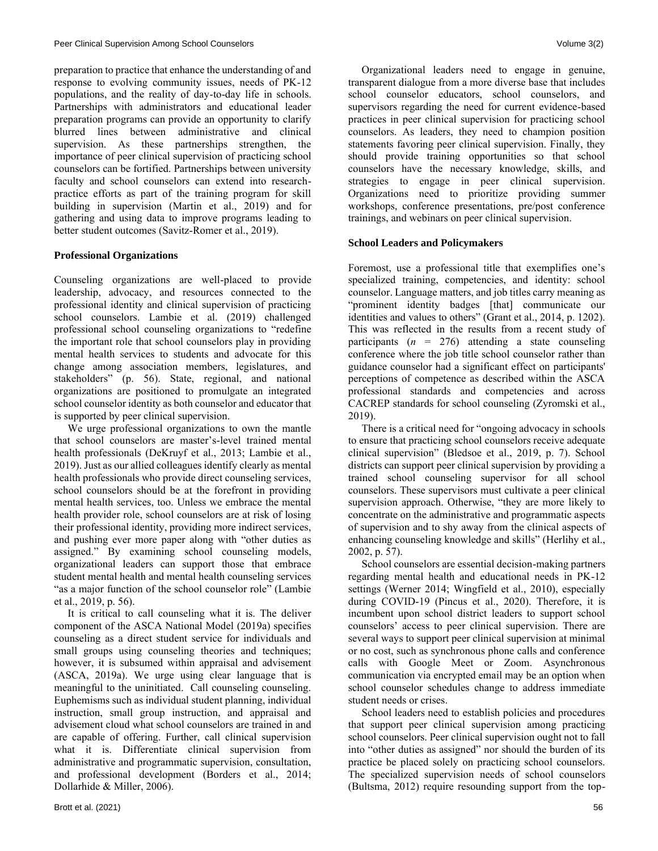preparation to practice that enhance the understanding of and response to evolving community issues, needs of PK-12 populations, and the reality of day-to-day life in schools. Partnerships with administrators and educational leader preparation programs can provide an opportunity to clarify blurred lines between administrative and clinical supervision. As these partnerships strengthen, the importance of peer clinical supervision of practicing school counselors can be fortified. Partnerships between university faculty and school counselors can extend into researchpractice efforts as part of the training program for skill building in supervision (Martin et al., 2019) and for gathering and using data to improve programs leading to better student outcomes (Savitz-Romer et al., 2019).

#### **Professional Organizations**

Counseling organizations are well-placed to provide leadership, advocacy, and resources connected to the professional identity and clinical supervision of practicing school counselors. Lambie et al. (2019) challenged professional school counseling organizations to "redefine the important role that school counselors play in providing mental health services to students and advocate for this change among association members, legislatures, and stakeholders" (p. 56). State, regional, and national organizations are positioned to promulgate an integrated school counselor identity as both counselor and educator that is supported by peer clinical supervision.

 We urge professional organizations to own the mantle that school counselors are master's-level trained mental health professionals (DeKruyf et al., 2013; Lambie et al., 2019). Just as our allied colleagues identify clearly as mental health professionals who provide direct counseling services, school counselors should be at the forefront in providing mental health services, too. Unless we embrace the mental health provider role, school counselors are at risk of losing their professional identity, providing more indirect services, and pushing ever more paper along with "other duties as assigned." By examining school counseling models, organizational leaders can support those that embrace student mental health and mental health counseling services "as a major function of the school counselor role" (Lambie et al., 2019, p. 56).

 It is critical to call counseling what it is. The deliver component of the ASCA National Model (2019a) specifies counseling as a direct student service for individuals and small groups using counseling theories and techniques; however, it is subsumed within appraisal and advisement (ASCA, 2019a). We urge using clear language that is meaningful to the uninitiated. Call counseling counseling. Euphemisms such as individual student planning, individual instruction, small group instruction, and appraisal and advisement cloud what school counselors are trained in and are capable of offering. Further, call clinical supervision what it is. Differentiate clinical supervision from administrative and programmatic supervision, consultation, and professional development (Borders et al., 2014; Dollarhide & Miller, 2006).

 Organizational leaders need to engage in genuine, transparent dialogue from a more diverse base that includes school counselor educators, school counselors, and supervisors regarding the need for current evidence-based practices in peer clinical supervision for practicing school counselors. As leaders, they need to champion position statements favoring peer clinical supervision. Finally, they should provide training opportunities so that school counselors have the necessary knowledge, skills, and strategies to engage in peer clinical supervision. Organizations need to prioritize providing summer workshops, conference presentations, pre/post conference trainings, and webinars on peer clinical supervision.

#### **School Leaders and Policymakers**

Foremost, use a professional title that exemplifies one's specialized training, competencies, and identity: school counselor. Language matters, and job titles carry meaning as "prominent identity badges [that] communicate our identities and values to others" (Grant et al., 2014, p. 1202). This was reflected in the results from a recent study of participants  $(n = 276)$  attending a state counseling conference where the job title school counselor rather than guidance counselor had a significant effect on participants' perceptions of competence as described within the ASCA professional standards and competencies and across CACREP standards for school counseling (Zyromski et al., 2019).

 There is a critical need for "ongoing advocacy in schools to ensure that practicing school counselors receive adequate clinical supervision" (Bledsoe et al., 2019, p. 7). School districts can support peer clinical supervision by providing a trained school counseling supervisor for all school counselors. These supervisors must cultivate a peer clinical supervision approach. Otherwise, "they are more likely to concentrate on the administrative and programmatic aspects of supervision and to shy away from the clinical aspects of enhancing counseling knowledge and skills" (Herlihy et al., 2002, p. 57).

 School counselors are essential decision-making partners regarding mental health and educational needs in PK-12 settings (Werner 2014; Wingfield et al., 2010), especially during COVID-19 (Pincus et al., 2020). Therefore, it is incumbent upon school district leaders to support school counselors' access to peer clinical supervision. There are several ways to support peer clinical supervision at minimal or no cost, such as synchronous phone calls and conference calls with Google Meet or Zoom. Asynchronous communication via encrypted email may be an option when school counselor schedules change to address immediate student needs or crises.

 School leaders need to establish policies and procedures that support peer clinical supervision among practicing school counselors. Peer clinical supervision ought not to fall into "other duties as assigned" nor should the burden of its practice be placed solely on practicing school counselors. The specialized supervision needs of school counselors (Bultsma, 2012) require resounding support from the top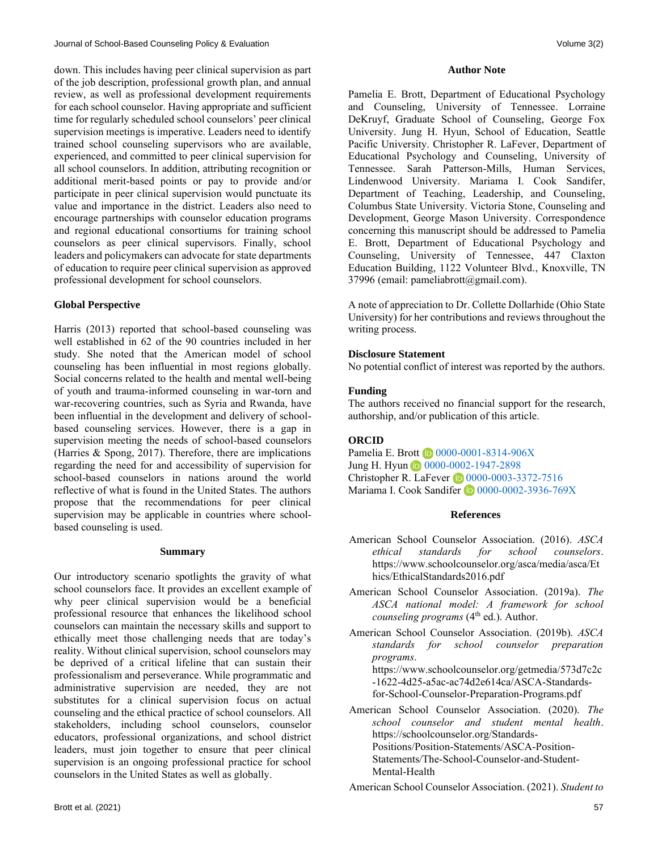down. This includes having peer clinical supervision as part of the job description, professional growth plan, and annual review, as well as professional development requirements for each school counselor. Having appropriate and sufficient time for regularly scheduled school counselors' peer clinical supervision meetings is imperative. Leaders need to identify trained school counseling supervisors who are available, experienced, and committed to peer clinical supervision for all school counselors. In addition, attributing recognition or additional merit-based points or pay to provide and/or participate in peer clinical supervision would punctuate its value and importance in the district. Leaders also need to encourage partnerships with counselor education programs and regional educational consortiums for training school counselors as peer clinical supervisors. Finally, school leaders and policymakers can advocate for state departments of education to require peer clinical supervision as approved professional development for school counselors.

# **Global Perspective**

Harris (2013) reported that school-based counseling was well established in 62 of the 90 countries included in her study. She noted that the American model of school counseling has been influential in most regions globally. Social concerns related to the health and mental well-being of youth and trauma-informed counseling in war-torn and war-recovering countries, such as Syria and Rwanda, have been influential in the development and delivery of schoolbased counseling services. However, there is a gap in supervision meeting the needs of school-based counselors (Harries & Spong, 2017). Therefore, there are implications regarding the need for and accessibility of supervision for school-based counselors in nations around the world reflective of what is found in the United States. The authors propose that the recommendations for peer clinical supervision may be applicable in countries where schoolbased counseling is used.

#### **Summary**

Our introductory scenario spotlights the gravity of what school counselors face. It provides an excellent example of why peer clinical supervision would be a beneficial professional resource that enhances the likelihood school counselors can maintain the necessary skills and support to ethically meet those challenging needs that are today's reality. Without clinical supervision, school counselors may be deprived of a critical lifeline that can sustain their professionalism and perseverance. While programmatic and administrative supervision are needed, they are not substitutes for a clinical supervision focus on actual counseling and the ethical practice of school counselors. All stakeholders, including school counselors, counselor educators, professional organizations, and school district leaders, must join together to ensure that peer clinical supervision is an ongoing professional practice for school counselors in the United States as well as globally.

#### **Author Note**

Pamelia E. Brott, Department of Educational Psychology and Counseling, University of Tennessee. Lorraine DeKruyf, Graduate School of Counseling, George Fox University. Jung H. Hyun, School of Education, Seattle Pacific University. Christopher R. LaFever, Department of Educational Psychology and Counseling, University of Tennessee. Sarah Patterson-Mills, Human Services, Lindenwood University. Mariama I. Cook Sandifer, Department of Teaching, Leadership, and Counseling, Columbus State University. Victoria Stone, Counseling and Development, George Mason University. Correspondence concerning this manuscript should be addressed to Pamelia E. Brott, Department of Educational Psychology and Counseling, University of Tennessee, 447 Claxton Education Building, 1122 Volunteer Blvd., Knoxville, TN 37996 (email: [pameliabrott@gmail.com\)](mailto:pameliabrott@gmail.com).

A note of appreciation to Dr. Collette Dollarhide (Ohio State University) for her contributions and reviews throughout the writing process.

# **Disclosure Statement**

No potential conflict of interest was reported by the authors.

# **Funding**

The authors received no financial support for the research, authorship, and/or publication of this article.

# **ORCID**

Pamelia E. Brott <sup>1</sup>[0000-0001-8314-906X](https://orcid.org/0000-0001-8314-906X) Jung H. Hyun **D** [0000-0002-1947-2898](https://orcid.org/0000-0002-1947-2898) Christopher R. LaFever (D0000-0003-3372-7516) Mariama I. Cook Sandifer **1**[0000-0002-3936-769X](https://orcid.org/0000-0002-3936-769X)

#### **References**

- American School Counselor Association. (2016). *ASCA ethical standards for school counselors*. [https://www.schoolcounselor.org/asca/media/asca/Et](https://www.schoolcounselor.org/asca/media/asca/Ethics/EthicalStandards2016.pdf) [hics/EthicalStandards2016.pdf](https://www.schoolcounselor.org/asca/media/asca/Ethics/EthicalStandards2016.pdf)
- American School Counselor Association. (2019a). *The ASCA national model: A framework for school counseling programs* (4<sup>th</sup> ed.). Author.
- American School Counselor Association. (2019b). *ASCA standards for school counselor preparation programs*.

[https://www.schoolcounselor.org/getmedia/573d7c2c](https://www.schoolcounselor.org/getmedia/573d7c2c-1622-4d25-a5ac-ac74d2e614ca/ASCA-Standards-for-School-Counselor-Preparation-Programs.pdf) [-1622-4d25-a5ac-ac74d2e614ca/ASCA-Standards](https://www.schoolcounselor.org/getmedia/573d7c2c-1622-4d25-a5ac-ac74d2e614ca/ASCA-Standards-for-School-Counselor-Preparation-Programs.pdf)[for-School-Counselor-Preparation-Programs.pdf](https://www.schoolcounselor.org/getmedia/573d7c2c-1622-4d25-a5ac-ac74d2e614ca/ASCA-Standards-for-School-Counselor-Preparation-Programs.pdf) 

American School Counselor Association. (2020). *The school counselor and student mental health*. [https://schoolcounselor.org/Standards-](https://schoolcounselor.org/Standards-Positions/Position-Statements/ASCA-Position-Statements/The-School-Counselor-and-Student-Mental-Health)[Positions/Position-Statements/ASCA-Position-](https://schoolcounselor.org/Standards-Positions/Position-Statements/ASCA-Position-Statements/The-School-Counselor-and-Student-Mental-Health)[Statements/The-School-Counselor-and-Student-](https://schoolcounselor.org/Standards-Positions/Position-Statements/ASCA-Position-Statements/The-School-Counselor-and-Student-Mental-Health)[Mental-Health](https://schoolcounselor.org/Standards-Positions/Position-Statements/ASCA-Position-Statements/The-School-Counselor-and-Student-Mental-Health)

American School Counselor Association. (2021). *Student to*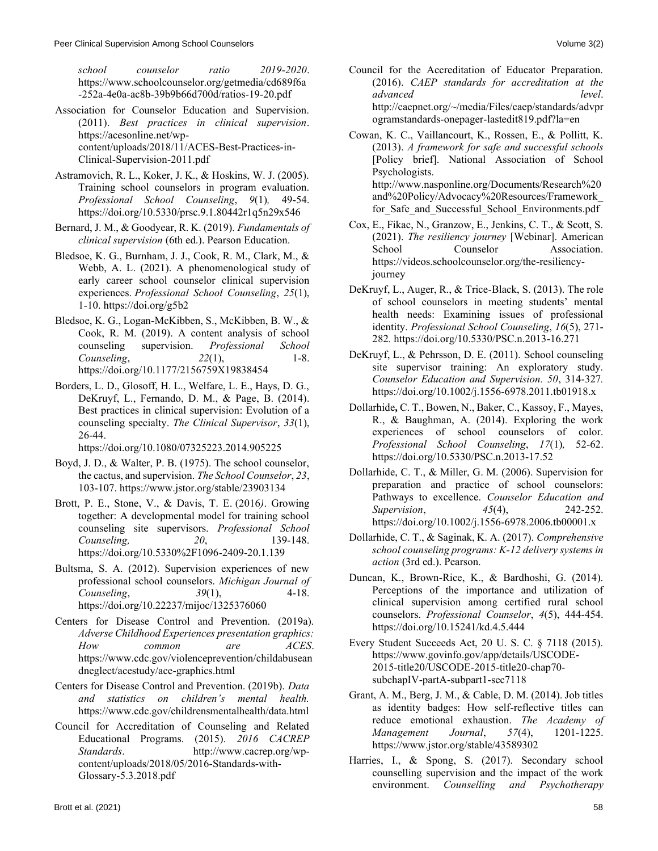*school counselor ratio 2019-2020*. [https://www.schoolcounselor.org/getmedia/cd689f6a](https://www.schoolcounselor.org/getmedia/cd689f6a-252a-4e0a-ac8b-39b9b66d700d/ratios-19-20.pdf) [-252a-4e0a-ac8b-39b9b66d700d/ratios-19-20.pdf](https://www.schoolcounselor.org/getmedia/cd689f6a-252a-4e0a-ac8b-39b9b66d700d/ratios-19-20.pdf)

- Association for Counselor Education and Supervision. (2011). *Best practices in clinical supervision*. [https://acesonline.net/wp](https://acesonline.net/wp-content/uploads/2018/11/ACES-Best-Practices-in-Clinical-Supervision-2011.pdf)[content/uploads/2018/11/ACES-Best-Practices-in-](https://acesonline.net/wp-content/uploads/2018/11/ACES-Best-Practices-in-Clinical-Supervision-2011.pdf)[Clinical-Supervision-2011.pdf](https://acesonline.net/wp-content/uploads/2018/11/ACES-Best-Practices-in-Clinical-Supervision-2011.pdf)
- Astramovich, R. L., Koker, J. K., & Hoskins, W. J. (2005). Training school counselors in program evaluation. *Professional School Counseling*, *9*(1)*,* 49-54. https://doi.org[/10.5330/prsc.9.1.80442r1q5n29x546](https://doi.org/10.5330/prsc.9.1.80442r1q5n29x546)
- Bernard, J. M., & Goodyear, R. K. (2019). *Fundamentals of clinical supervision* (6th ed.). Pearson Education.
- Bledsoe, K. G., Burnham, J. J., Cook, R. M., Clark, M., & Webb, A. L. (2021). A phenomenological study of early career school counselor clinical supervision experiences. *Professional School Counseling*, *25*(1), 1-10. <https://doi.org/g5b2>
- Bledsoe, K. G., Logan-McKibben, S., McKibben, B. W., & Cook, R. M. (2019). A content analysis of school counseling supervision. *Professional School Counseling*, *22*(1), 1-8. [https://doi.org/10.1177/2156759X19838454](https://doi.org/10.1177%2F2156759X19838454)
- Borders, L. D., Glosoff, H. L., Welfare, L. E., Hays, D. G., DeKruyf, L., Fernando, D. M., & Page, B. (2014). Best practices in clinical supervision: Evolution of a counseling specialty. *The Clinical Supervisor*, *33*(1), 26-44.

<https://doi.org/10.1080/07325223.2014.905225>

- Boyd, J. D., & Walter, P. B. (1975). The school counselor, the cactus, and supervision. *The School Counselor*, *23*, 103-107. https://www.jstor.org/stable/23903134
- Brott, P. E., Stone, V., & Davis, T. E. (2016*)*. Growing together: A developmental model for training school counseling site supervisors. *Professional School Counseling, 20*, 139-148. <https://doi.org/10.5330%2F1096-2409-20.1.139>
- Bultsma, S. A. (2012). Supervision experiences of new professional school counselors. *Michigan Journal of Counseling*, *39*(1), 4-18. <https://doi.org/10.22237/mijoc/1325376060>
- Centers for Disease Control and Prevention. (2019a). *Adverse Childhood Experiences presentation graphics: How common are ACES*. [https://www.cdc.gov/violenceprevention/childabusean](https://www.cdc.gov/violenceprevention/childabuseandneglect/acestudy/ace-graphics.html) [dneglect/acestudy/ace-graphics.html](https://www.cdc.gov/violenceprevention/childabuseandneglect/acestudy/ace-graphics.html)
- Centers for Disease Control and Prevention. (2019b). *Data and statistics on children's mental health.*  <https://www.cdc.gov/childrensmentalhealth/data.html>
- Council for Accreditation of Counseling and Related Educational Programs. (2015). *2016 CACREP Standards*. [http://www.cacrep.org/wp](http://www.cacrep.org/wp-content/uploads/2018/05/2016-Standards-with-Glossary-5.3.2018.pdf)[content/uploads/2018/05/2016-Standards-with-](http://www.cacrep.org/wp-content/uploads/2018/05/2016-Standards-with-Glossary-5.3.2018.pdf)[Glossary-5.3.2018.pdf](http://www.cacrep.org/wp-content/uploads/2018/05/2016-Standards-with-Glossary-5.3.2018.pdf)
- Council for the Accreditation of Educator Preparation. (2016). *CAEP standards for accreditation at the advanced level*. [http://caepnet.org/~/media/Files/caep/standards/advpr](http://caepnet.org/~/media/Files/caep/standards/advprogramstandards-onepager-lastedit819.pdf?la=en) [ogramstandards-onepager-lastedit819.pdf?la=en](http://caepnet.org/~/media/Files/caep/standards/advprogramstandards-onepager-lastedit819.pdf?la=en)
- Cowan, K. C., Vaillancourt, K., Rossen, E., & Pollitt, K. (2013). *A framework for safe and successful schools* [Policy brief]. National Association of School Psychologists. [http://www.nasponline.org/Documents/Research%20](http://www.nasponline.org/Documents/Research%20and%20Policy/Advocacy%20Resources/Framework_for_Safe_and_Successful_School_Environments.pdf) [and%20Policy/Advocacy%20Resources/Framework\\_](http://www.nasponline.org/Documents/Research%20and%20Policy/Advocacy%20Resources/Framework_for_Safe_and_Successful_School_Environments.pdf) for Safe and Successful School Environments.pdf
- Cox, E., Fikac, N., Granzow, E., Jenkins, C. T., & Scott, S. (2021). *The resiliency journey* [Webinar]. American School Counselor Association. [https://videos.schoolcounselor.org/the-resiliency](https://videos.schoolcounselor.org/the-resiliency-journey)[journey](https://videos.schoolcounselor.org/the-resiliency-journey)
- DeKruyf, L., Auger, R., & Trice-Black, S. (2013). The role of school counselors in meeting students' mental health needs: Examining issues of professional identity. *Professional School Counseling*, *16*(5), 271- 282*.* <https://doi.org/10.5330/PSC.n.2013-16.271>
- DeKruyf, L., & Pehrsson, D. E. (2011). School counseling site supervisor training: An exploratory study. *Counselor Education and Supervision. 50*, 314-327*.*  <https://doi.org/10.1002/j.1556-6978.2011.tb01918.x>
- Dollarhide**,** C. T., Bowen, N., Baker, C., Kassoy, F., Mayes, R., & Baughman, A. (2014). Exploring the work experiences of school counselors of color. *Professional School Counseling*, *17*(1)*,* 52-62. <https://doi.org/10.5330/PSC.n.2013-17.52>
- Dollarhide, C. T., & Miller, G. M. (2006). Supervision for preparation and practice of school counselors: Pathways to excellence. *Counselor Education and Supervision*, *45*(4), 242-252. https://doi.org/10.1002/j.1556-6978.2006.tb00001.x
- Dollarhide, C. T., & Saginak, K. A. (2017). *Comprehensive school counseling programs: K-12 delivery systems in action* (3rd ed.). Pearson.
- Duncan, K., Brown-Rice, K., & Bardhoshi, G. (2014). Perceptions of the importance and utilization of clinical supervision among certified rural school counselors. *Professional Counselor*, *4*(5), 444-454. <https://doi.org/10.15241/kd.4.5.444>
- Every Student Succeeds Act, 20 U. S. C. § 7118 (2015). [https://www.govinfo.gov/app/details/USCODE-](https://www.govinfo.gov/app/details/USCODE-2015-title20/USCODE-2015-title20-chap70-subchapIV-partA-subpart1-sec7118)[2015-title20/USCODE-2015-title20-chap70](https://www.govinfo.gov/app/details/USCODE-2015-title20/USCODE-2015-title20-chap70-subchapIV-partA-subpart1-sec7118) [subchapIV-partA-subpart1-sec7118](https://www.govinfo.gov/app/details/USCODE-2015-title20/USCODE-2015-title20-chap70-subchapIV-partA-subpart1-sec7118)
- Grant, A. M., Berg, J. M., & Cable, D. M. (2014). Job titles as identity badges: How self-reflective titles can reduce emotional exhaustion. *The Academy of Management Journal*, *57*(4), 1201-1225. <https://www.jstor.org/stable/43589302>
- Harries, I., & Spong, S. (2017). Secondary school counselling supervision and the impact of the work environment. *Counselling and Psychotherapy*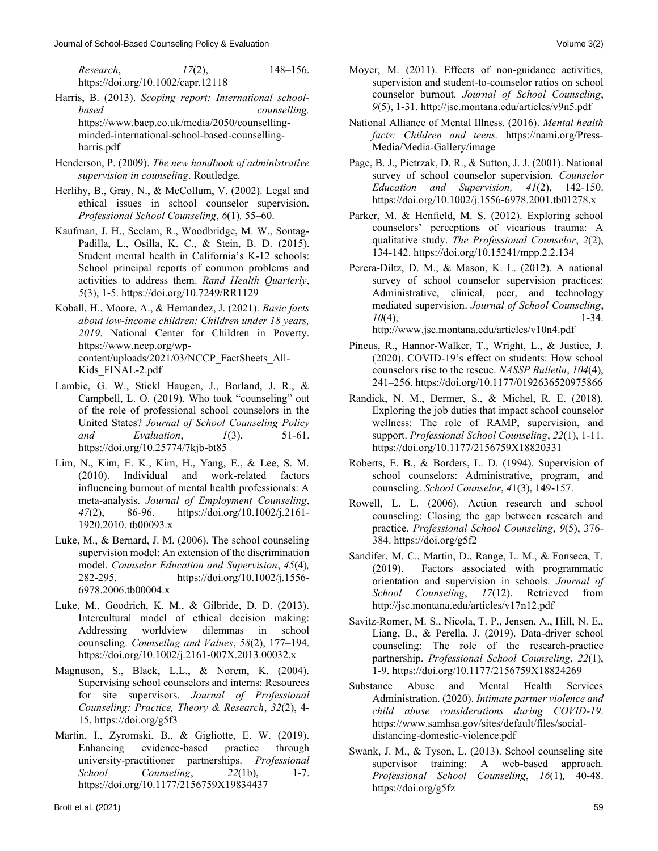*Research*, *17*(2), 148–156. <https://doi.org/10.1002/capr.12118>

- Harris, B. (2013). *Scoping report: International schoolbased counselling.*  [https://www.bacp.co.uk/media/2050/counselling](https://www.bacp.co.uk/media/2050/counselling-minded-international-school-based-counselling-harris.pdf)[minded-international-school-based-counselling](https://www.bacp.co.uk/media/2050/counselling-minded-international-school-based-counselling-harris.pdf)[harris.pdf](https://www.bacp.co.uk/media/2050/counselling-minded-international-school-based-counselling-harris.pdf)
- Henderson, P. (2009). *The new handbook of administrative supervision in counseling*. Routledge.
- Herlihy, B., Gray, N., & McCollum, V. (2002). Legal and ethical issues in school counselor supervision. *Professional School Counseling*, *6*(1)*,* 55–60.
- Kaufman, J. H., Seelam, R., Woodbridge, M. W., Sontag-Padilla, L., Osilla, K. C., & Stein, B. D. (2015). Student mental health in California's K-12 schools: School principal reports of common problems and activities to address them. *Rand Health Quarterly*, *5*(3), 1-5.<https://doi.org/10.7249/RR1129>
- Koball, H., Moore, A., & Hernandez, J. (2021). *Basic facts about low-income children: Children under 18 years, 2019*. National Center for Children in Poverty. [https://www.nccp.org/wp](https://www.nccp.org/wp-content/uploads/2021/03/NCCP_FactSheets_All-Kids_FINAL-2.pdf)[content/uploads/2021/03/NCCP\\_FactSheets\\_All-](https://www.nccp.org/wp-content/uploads/2021/03/NCCP_FactSheets_All-Kids_FINAL-2.pdf)[Kids\\_FINAL-2.pdf](https://www.nccp.org/wp-content/uploads/2021/03/NCCP_FactSheets_All-Kids_FINAL-2.pdf)
- Lambie, G. W., Stickl Haugen, J., Borland, J. R., & Campbell, L. O. (2019). Who took "counseling" out of the role of professional school counselors in the United States? *Journal of School Counseling Policy and Evaluation*, *1*(3), 51-61. <https://doi.org/10.25774/7kjb-bt85>
- Lim, N., Kim, E. K., Kim, H., Yang, E., & Lee, S. M. (2010). Individual and work-related factors influencing burnout of mental health professionals: A meta-analysis. *Journal of Employment Counseling*, *47*(2), 86-96. [https://doi.org/10.1002/j.2161-](https://doi.org/10.1002/j.2161-1920.2010.tb00093.x) [1920.2010.](https://doi.org/10.1002/j.2161-1920.2010.tb00093.x) [tb00093.x](https://doi.org/10.1002/j.2161-1920.2010.tb00093.x)
- Luke, M., & Bernard, J. M. (2006). The school counseling supervision model: An extension of the discrimination model. *Counselor Education and Supervision*, *45*(4)*,*  282-295. https://doi.org/10.1002/j.1556- 6978.2006.tb00004.x
- Luke, M., Goodrich, K. M., & Gilbride, D. D. (2013). Intercultural model of ethical decision making: Addressing worldview dilemmas in school counseling. *Counseling and Values*, *58*(2), 177–194. <https://doi.org/10.1002/j.2161-007X.2013.00032.x>
- Magnuson, S., Black, L.L., & Norem, K. (2004). Supervising school counselors and interns: Resources for site supervisors. *Journal of Professional Counseling: Practice, Theory & Research*, *32*(2), 4- 15.<https://doi.org/g5f3>
- Martin, I., Zyromski, B., & Gigliotte, E. W. (2019). Enhancing evidence-based practice through university-practitioner partnerships. *Professional School Counseling*, *22*(1b), 1-7. <https://doi.org/10.1177/2156759X19834437>
- Moyer, M. (2011). Effects of non-guidance activities, supervision and student-to-counselor ratios on school counselor burnout. *Journal of School Counseling*, *9*(5), 1-31[. http://jsc.montana.edu/articles/v9n5.pdf](http://jsc.montana.edu/articles/v9n5.pdf)
- National Alliance of Mental Illness. (2016). *Mental health facts: Children and teens.* [https://nami.org/Press-](https://nami.org/Press-Media/Media-Gallery/image)[Media/Media-Gallery/image](https://nami.org/Press-Media/Media-Gallery/image)
- Page, B. J., Pietrzak, D. R., & Sutton, J. J. (2001). National survey of school counselor supervision. *Counselor Education and Supervision, 41*(2), 142-150. <https://doi.org/10.1002/j.1556-6978.2001.tb01278.x>
- Parker, M. & Henfield, M. S. (2012). Exploring school counselors' perceptions of vicarious trauma: A qualitative study. *The Professional Counselor*, *2*(2), 134-142.<https://doi.org/10.15241/mpp.2.2.134>
- Perera-Diltz, D. M., & Mason, K. L. (2012). A national survey of school counselor supervision practices: Administrative, clinical, peer, and technology mediated supervision. *Journal of School Counseling*, *10*(4), 1-34. <http://www.jsc.montana.edu/articles/v10n4.pdf>
- Pincus, R., Hannor-Walker, T., Wright, L., & Justice, J. (2020). COVID-19's effect on students: How school counselors rise to the rescue. *NASSP Bulletin*, *104*(4), 241–256[. https://doi.org/10.1177/0192636520975866](https://doi.org/10.1177/0192636520975866)
- Randick, N. M., Dermer, S., & Michel, R. E. (2018). Exploring the job duties that impact school counselor wellness: The role of RAMP, supervision, and support. *Professional School Counseling*, *22*(1), 1-11. <https://doi.org/10.1177/2156759X18820331>
- Roberts, E. B., & Borders, L. D. (1994). Supervision of school counselors: Administrative, program, and counseling. *School Counselor*, *4*1(3), 149-157.
- Rowell, L. L. (2006). Action research and school counseling: Closing the gap between research and practice. *Professional School Counseling*, *9*(5), 376- 384[. https://doi.org/g5f2](https://doi.org/g5f2)
- Sandifer, M. C., Martin, D., Range, L. M., & Fonseca, T. (2019). Factors associated with programmatic orientation and supervision in schools. *Journal of School Counseling*, *17*(12). Retrieved from <http://jsc.montana.edu/articles/v17n12.pdf>
- Savitz-Romer, M. S., Nicola, T. P., Jensen, A., Hill, N. E., Liang, B., & Perella, J. (2019). Data-driver school counseling: The role of the research-practice partnership. *Professional School Counseling*, *22*(1), 1-9.<https://doi.org/10.1177/2156759X18824269>
- Substance Abuse and Mental Health Services Administration. (2020). *Intimate partner violence and child abuse considerations during COVID-19*. [https://www.samhsa.gov/sites/default/files/social](https://www.samhsa.gov/sites/default/files/social-distancing-domestic-violence.pdf)[distancing-domestic-violence.pdf](https://www.samhsa.gov/sites/default/files/social-distancing-domestic-violence.pdf)
- Swank, J. M., & Tyson, L. (2013). School counseling site supervisor training: A web-based approach. *Professional School Counseling*, *16*(1)*,* 40-48. <https://doi.org/g5fz>